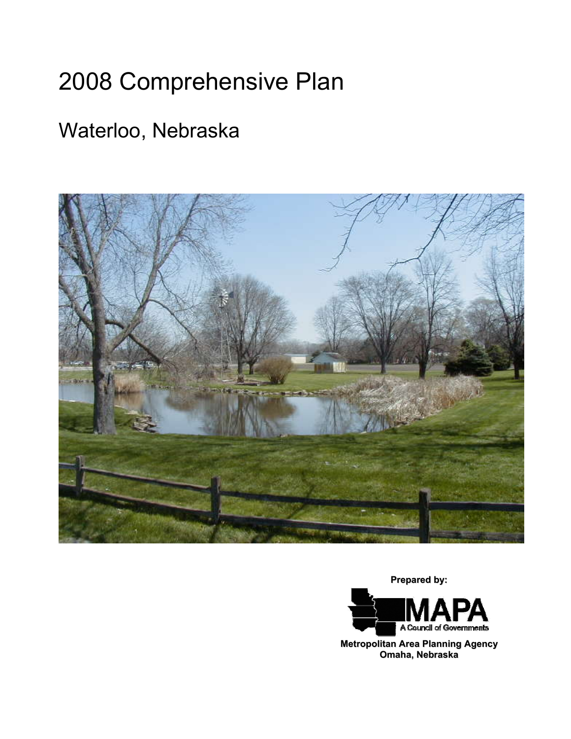# 2008 Comprehensive Plan

# Waterloo, Nebraska



**Prepared by:**



**Metropolitan Area Planning Agency Omaha, Nebraska**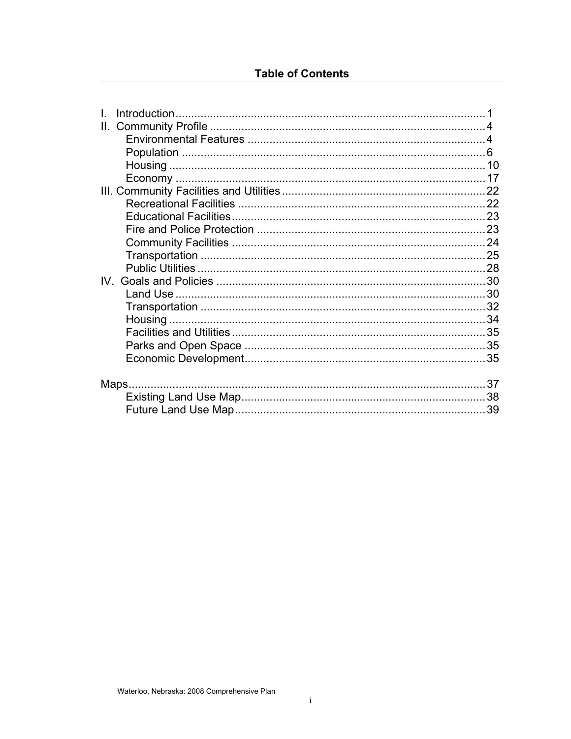| II. |       |  |
|-----|-------|--|
|     |       |  |
|     |       |  |
|     |       |  |
|     |       |  |
|     |       |  |
|     |       |  |
|     |       |  |
|     |       |  |
|     |       |  |
|     |       |  |
|     |       |  |
|     |       |  |
|     |       |  |
|     |       |  |
|     |       |  |
|     |       |  |
|     |       |  |
|     |       |  |
|     |       |  |
|     | Maps. |  |
|     |       |  |
|     |       |  |
|     |       |  |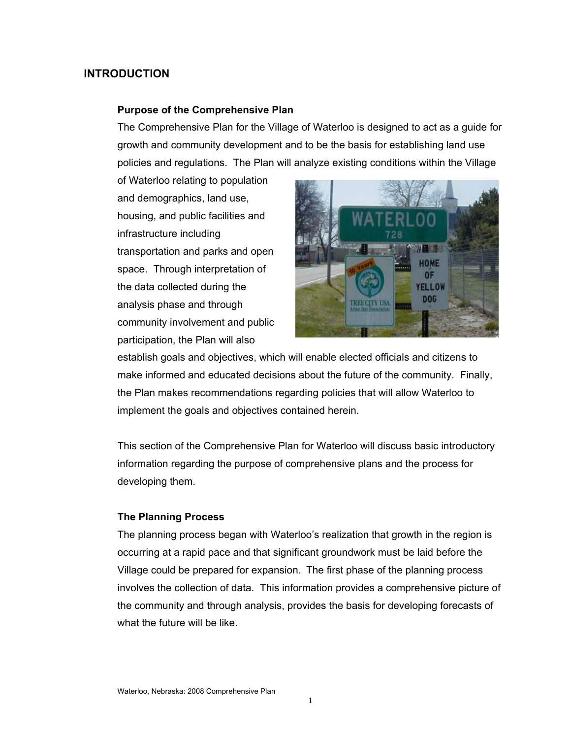# **INTRODUCTION**

#### **Purpose of the Comprehensive Plan**

The Comprehensive Plan for the Village of Waterloo is designed to act as a guide for growth and community development and to be the basis for establishing land use policies and regulations. The Plan will analyze existing conditions within the Village

of Waterloo relating to population and demographics, land use, housing, and public facilities and infrastructure including transportation and parks and open space. Through interpretation of the data collected during the analysis phase and through community involvement and public participation, the Plan will also



establish goals and objectives, which will enable elected officials and citizens to make informed and educated decisions about the future of the community. Finally, the Plan makes recommendations regarding policies that will allow Waterloo to implement the goals and objectives contained herein.

This section of the Comprehensive Plan for Waterloo will discuss basic introductory information regarding the purpose of comprehensive plans and the process for developing them.

#### **The Planning Process**

The planning process began with Waterloo's realization that growth in the region is occurring at a rapid pace and that significant groundwork must be laid before the Village could be prepared for expansion. The first phase of the planning process involves the collection of data. This information provides a comprehensive picture of the community and through analysis, provides the basis for developing forecasts of what the future will be like.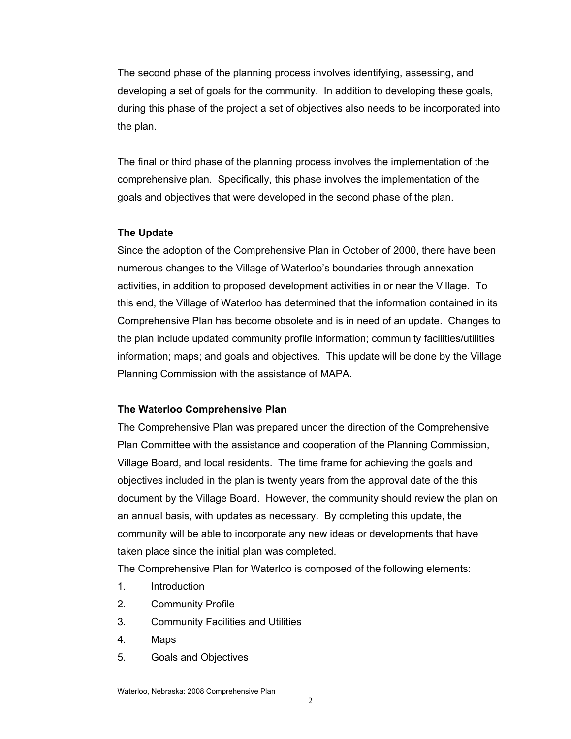The second phase of the planning process involves identifying, assessing, and developing a set of goals for the community. In addition to developing these goals, during this phase of the project a set of objectives also needs to be incorporated into the plan.

The final or third phase of the planning process involves the implementation of the comprehensive plan. Specifically, this phase involves the implementation of the goals and objectives that were developed in the second phase of the plan.

#### **The Update**

Since the adoption of the Comprehensive Plan in October of 2000, there have been numerous changes to the Village of Waterloo's boundaries through annexation activities, in addition to proposed development activities in or near the Village. To this end, the Village of Waterloo has determined that the information contained in its Comprehensive Plan has become obsolete and is in need of an update. Changes to the plan include updated community profile information; community facilities/utilities information; maps; and goals and objectives. This update will be done by the Village Planning Commission with the assistance of MAPA.

#### **The Waterloo Comprehensive Plan**

The Comprehensive Plan was prepared under the direction of the Comprehensive Plan Committee with the assistance and cooperation of the Planning Commission, Village Board, and local residents. The time frame for achieving the goals and objectives included in the plan is twenty years from the approval date of the this document by the Village Board. However, the community should review the plan on an annual basis, with updates as necessary. By completing this update, the community will be able to incorporate any new ideas or developments that have taken place since the initial plan was completed.

The Comprehensive Plan for Waterloo is composed of the following elements:

- 1. Introduction
- 2. Community Profile
- 3. Community Facilities and Utilities
- 4. Maps
- 5. Goals and Objectives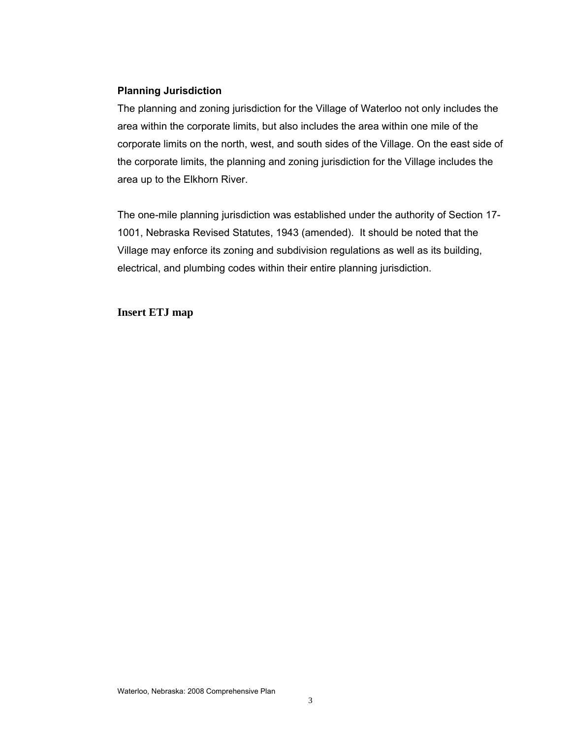#### **Planning Jurisdiction**

The planning and zoning jurisdiction for the Village of Waterloo not only includes the area within the corporate limits, but also includes the area within one mile of the corporate limits on the north, west, and south sides of the Village. On the east side of the corporate limits, the planning and zoning jurisdiction for the Village includes the area up to the Elkhorn River.

The one-mile planning jurisdiction was established under the authority of Section 17- 1001, Nebraska Revised Statutes, 1943 (amended). It should be noted that the Village may enforce its zoning and subdivision regulations as well as its building, electrical, and plumbing codes within their entire planning jurisdiction.

#### **Insert ETJ map**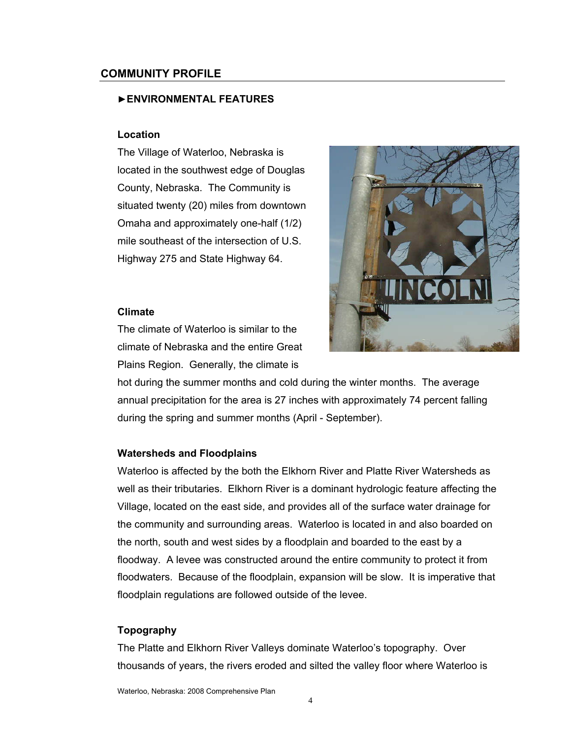#### **COMMUNITY PROFILE**

#### ►**ENVIRONMENTAL FEATURES**

#### **Location**

The Village of Waterloo, Nebraska is located in the southwest edge of Douglas County, Nebraska. The Community is situated twenty (20) miles from downtown Omaha and approximately one-half (1/2) mile southeast of the intersection of U.S. Highway 275 and State Highway 64.

#### **Climate**

The climate of Waterloo is similar to the climate of Nebraska and the entire Great Plains Region. Generally, the climate is



hot during the summer months and cold during the winter months. The average annual precipitation for the area is 27 inches with approximately 74 percent falling during the spring and summer months (April - September).

#### **Watersheds and Floodplains**

Waterloo is affected by the both the Elkhorn River and Platte River Watersheds as well as their tributaries. Elkhorn River is a dominant hydrologic feature affecting the Village, located on the east side, and provides all of the surface water drainage for the community and surrounding areas. Waterloo is located in and also boarded on the north, south and west sides by a floodplain and boarded to the east by a floodway. A levee was constructed around the entire community to protect it from floodwaters. Because of the floodplain, expansion will be slow. It is imperative that floodplain regulations are followed outside of the levee.

#### **Topography**

The Platte and Elkhorn River Valleys dominate Waterloo's topography. Over thousands of years, the rivers eroded and silted the valley floor where Waterloo is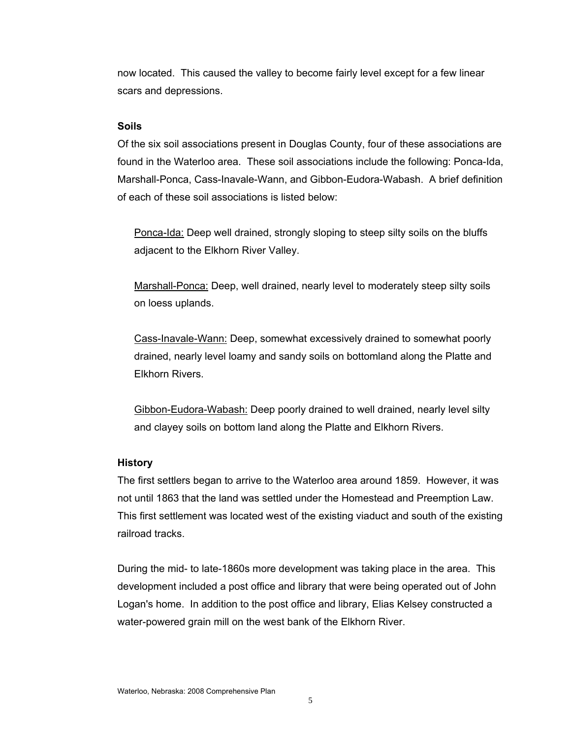now located. This caused the valley to become fairly level except for a few linear scars and depressions.

#### **Soils**

Of the six soil associations present in Douglas County, four of these associations are found in the Waterloo area. These soil associations include the following: Ponca-Ida, Marshall-Ponca, Cass-Inavale-Wann, and Gibbon-Eudora-Wabash. A brief definition of each of these soil associations is listed below:

Ponca-Ida: Deep well drained, strongly sloping to steep silty soils on the bluffs adjacent to the Elkhorn River Valley.

Marshall-Ponca: Deep, well drained, nearly level to moderately steep silty soils on loess uplands.

Cass-Inavale-Wann: Deep, somewhat excessively drained to somewhat poorly drained, nearly level loamy and sandy soils on bottomland along the Platte and Elkhorn Rivers.

Gibbon-Eudora-Wabash: Deep poorly drained to well drained, nearly level silty and clayey soils on bottom land along the Platte and Elkhorn Rivers.

#### **History**

The first settlers began to arrive to the Waterloo area around 1859. However, it was not until 1863 that the land was settled under the Homestead and Preemption Law. This first settlement was located west of the existing viaduct and south of the existing railroad tracks.

During the mid- to late-1860s more development was taking place in the area. This development included a post office and library that were being operated out of John Logan's home. In addition to the post office and library, Elias Kelsey constructed a water-powered grain mill on the west bank of the Elkhorn River.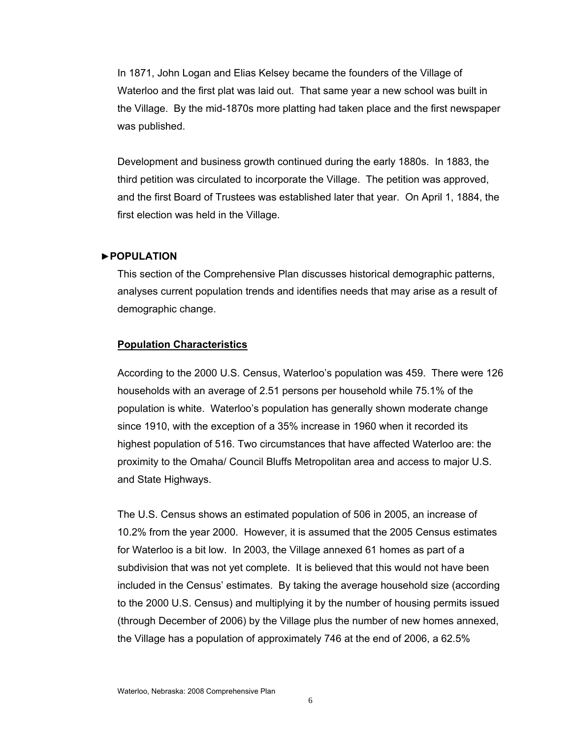In 1871, John Logan and Elias Kelsey became the founders of the Village of Waterloo and the first plat was laid out. That same year a new school was built in the Village. By the mid-1870s more platting had taken place and the first newspaper was published.

Development and business growth continued during the early 1880s. In 1883, the third petition was circulated to incorporate the Village. The petition was approved, and the first Board of Trustees was established later that year. On April 1, 1884, the first election was held in the Village.

#### ►**POPULATION**

This section of the Comprehensive Plan discusses historical demographic patterns, analyses current population trends and identifies needs that may arise as a result of demographic change.

#### **Population Characteristics**

According to the 2000 U.S. Census, Waterloo's population was 459. There were 126 households with an average of 2.51 persons per household while 75.1% of the population is white. Waterloo's population has generally shown moderate change since 1910, with the exception of a 35% increase in 1960 when it recorded its highest population of 516. Two circumstances that have affected Waterloo are: the proximity to the Omaha/ Council Bluffs Metropolitan area and access to major U.S. and State Highways.

The U.S. Census shows an estimated population of 506 in 2005, an increase of 10.2% from the year 2000. However, it is assumed that the 2005 Census estimates for Waterloo is a bit low. In 2003, the Village annexed 61 homes as part of a subdivision that was not yet complete. It is believed that this would not have been included in the Census' estimates. By taking the average household size (according to the 2000 U.S. Census) and multiplying it by the number of housing permits issued (through December of 2006) by the Village plus the number of new homes annexed, the Village has a population of approximately 746 at the end of 2006, a 62.5%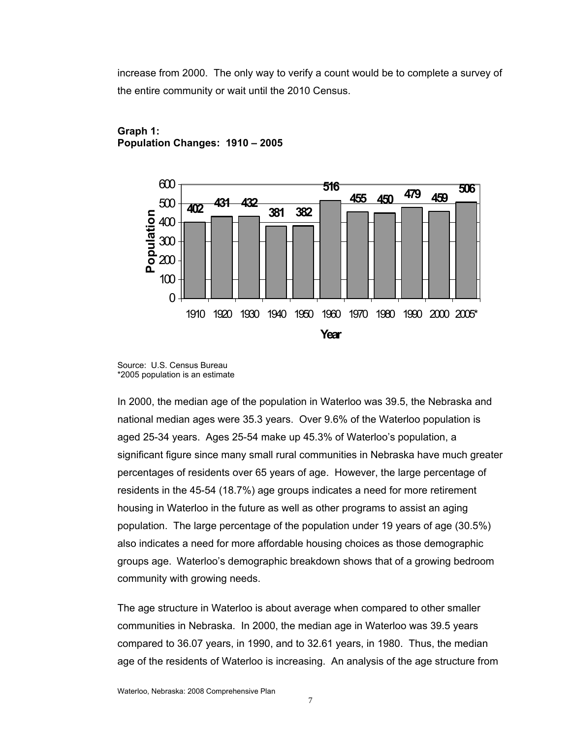increase from 2000. The only way to verify a count would be to complete a survey of the entire community or wait until the 2010 Census.



# **Graph 1: Population Changes: 1910 – 2005**

In 2000, the median age of the population in Waterloo was 39.5, the Nebraska and national median ages were 35.3 years. Over 9.6% of the Waterloo population is aged 25-34 years. Ages 25-54 make up 45.3% of Waterloo's population, a significant figure since many small rural communities in Nebraska have much greater percentages of residents over 65 years of age. However, the large percentage of residents in the 45-54 (18.7%) age groups indicates a need for more retirement housing in Waterloo in the future as well as other programs to assist an aging population. The large percentage of the population under 19 years of age (30.5%) also indicates a need for more affordable housing choices as those demographic groups age. Waterloo's demographic breakdown shows that of a growing bedroom community with growing needs.

The age structure in Waterloo is about average when compared to other smaller communities in Nebraska. In 2000, the median age in Waterloo was 39.5 years compared to 36.07 years, in 1990, and to 32.61 years, in 1980. Thus, the median age of the residents of Waterloo is increasing. An analysis of the age structure from

Source: U.S. Census Bureau \*2005 population is an estimate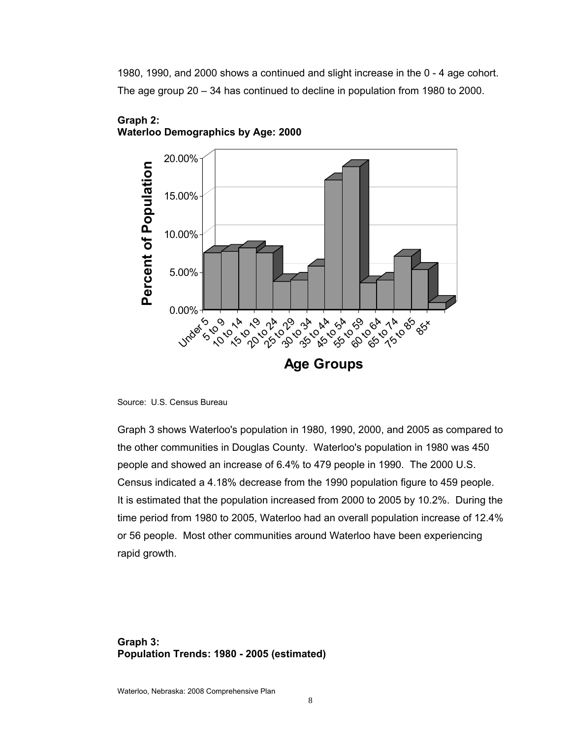1980, 1990, and 2000 shows a continued and slight increase in the 0 - 4 age cohort. The age group 20 – 34 has continued to decline in population from 1980 to 2000.



#### **Graph 2: Waterloo Demographics by Age: 2000**

Graph 3 shows Waterloo's population in 1980, 1990, 2000, and 2005 as compared to the other communities in Douglas County. Waterloo's population in 1980 was 450 people and showed an increase of 6.4% to 479 people in 1990. The 2000 U.S. Census indicated a 4.18% decrease from the 1990 population figure to 459 people. It is estimated that the population increased from 2000 to 2005 by 10.2%. During the time period from 1980 to 2005, Waterloo had an overall population increase of 12.4% or 56 people. Most other communities around Waterloo have been experiencing rapid growth.

# **Graph 3: Population Trends: 1980 - 2005 (estimated)**

Source: U.S. Census Bureau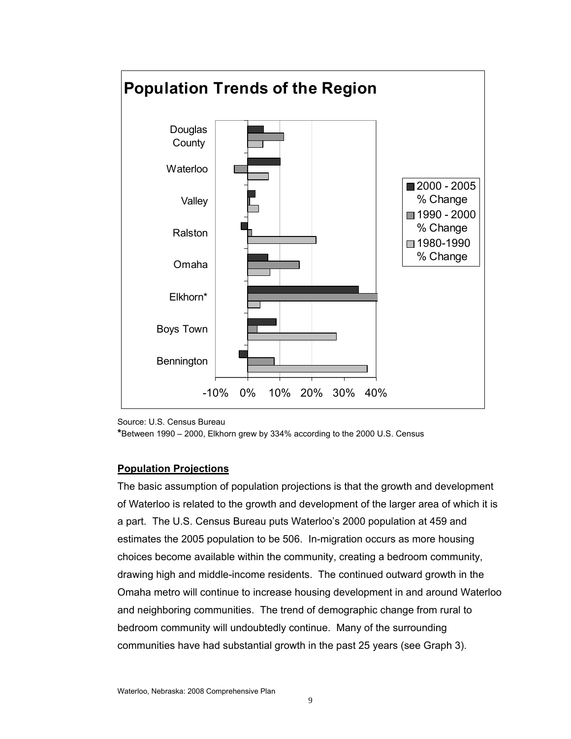

Source: U.S. Census Bureau

**\***Between 1990 – 2000, Elkhorn grew by 334% according to the 2000 U.S. Census

#### **Population Projections**

The basic assumption of population projections is that the growth and development of Waterloo is related to the growth and development of the larger area of which it is a part. The U.S. Census Bureau puts Waterloo's 2000 population at 459 and estimates the 2005 population to be 506. In-migration occurs as more housing choices become available within the community, creating a bedroom community, drawing high and middle-income residents. The continued outward growth in the Omaha metro will continue to increase housing development in and around Waterloo and neighboring communities. The trend of demographic change from rural to bedroom community will undoubtedly continue. Many of the surrounding communities have had substantial growth in the past 25 years (see Graph 3).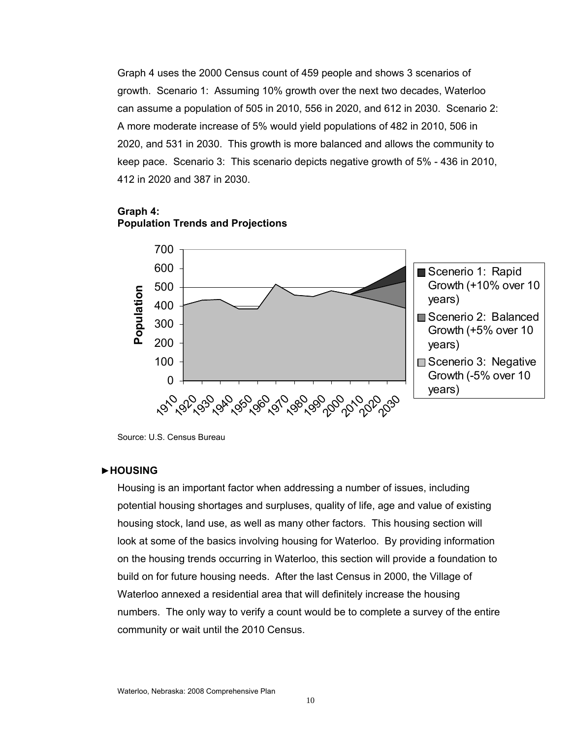Graph 4 uses the 2000 Census count of 459 people and shows 3 scenarios of growth. Scenario 1: Assuming 10% growth over the next two decades, Waterloo can assume a population of 505 in 2010, 556 in 2020, and 612 in 2030. Scenario 2: A more moderate increase of 5% would yield populations of 482 in 2010, 506 in 2020, and 531 in 2030. This growth is more balanced and allows the community to keep pace. Scenario 3: This scenario depicts negative growth of 5% - 436 in 2010, 412 in 2020 and 387 in 2030.

#### **Graph 4:**





Source: U.S. Census Bureau

#### ►**HOUSING**

Housing is an important factor when addressing a number of issues, including potential housing shortages and surpluses, quality of life, age and value of existing housing stock, land use, as well as many other factors. This housing section will look at some of the basics involving housing for Waterloo. By providing information on the housing trends occurring in Waterloo, this section will provide a foundation to build on for future housing needs. After the last Census in 2000, the Village of Waterloo annexed a residential area that will definitely increase the housing numbers. The only way to verify a count would be to complete a survey of the entire community or wait until the 2010 Census.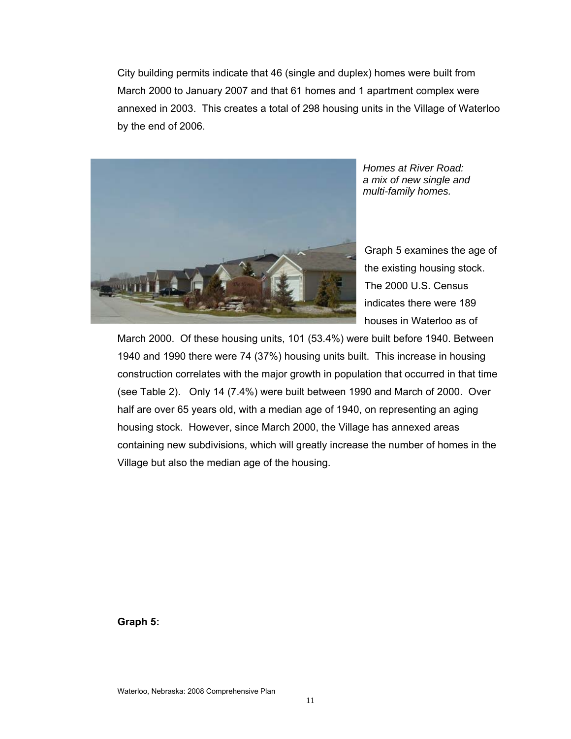City building permits indicate that 46 (single and duplex) homes were built from March 2000 to January 2007 and that 61 homes and 1 apartment complex were annexed in 2003. This creates a total of 298 housing units in the Village of Waterloo by the end of 2006.



*Homes at River Road: a mix of new single and multi-family homes.*

Graph 5 examines the age of the existing housing stock. The 2000 U.S. Census indicates there were 189 houses in Waterloo as of

March 2000. Of these housing units, 101 (53.4%) were built before 1940. Between 1940 and 1990 there were 74 (37%) housing units built. This increase in housing construction correlates with the major growth in population that occurred in that time (see Table 2). Only 14 (7.4%) were built between 1990 and March of 2000. Over half are over 65 years old, with a median age of 1940, on representing an aging housing stock. However, since March 2000, the Village has annexed areas containing new subdivisions, which will greatly increase the number of homes in the Village but also the median age of the housing.

**Graph 5:**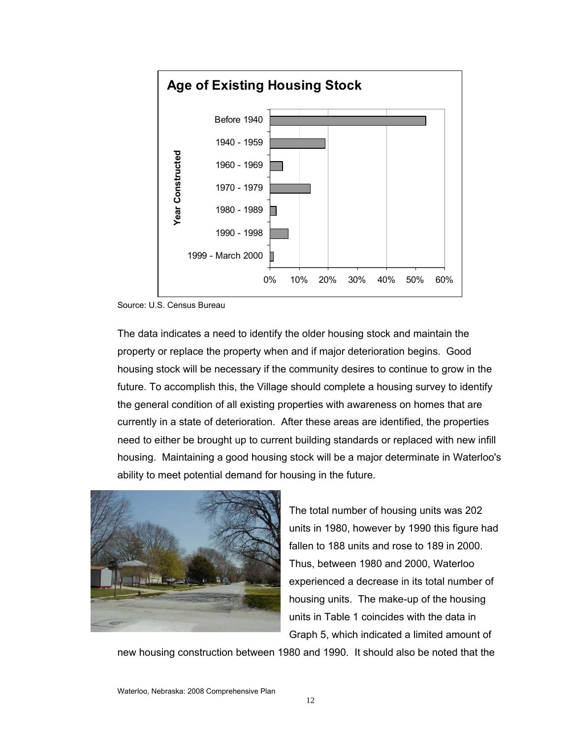

Source: U.S. Census Bureau

The data indicates a need to identify the older housing stock and maintain the property or replace the property when and if major deterioration begins. Good housing stock will be necessary if the community desires to continue to grow in the future. To accomplish this, the Village should complete a housing survey to identify the general condition of all existing properties with awareness on homes that are currently in a state of deterioration. After these areas are identified, the properties need to either be brought up to current building standards or replaced with new infill housing. Maintaining a good housing stock will be a major determinate in Waterloo's ability to meet potential demand for housing in the future.



The total number of housing units was 202 units in 1980, however by 1990 this figure had fallen to 188 units and rose to 189 in 2000. Thus, between 1980 and 2000, Waterloo experienced a decrease in its total number of housing units. The make-up of the housing units in Table 1 coincides with the data in Graph 5, which indicated a limited amount of

new housing construction between 1980 and 1990. It should also be noted that the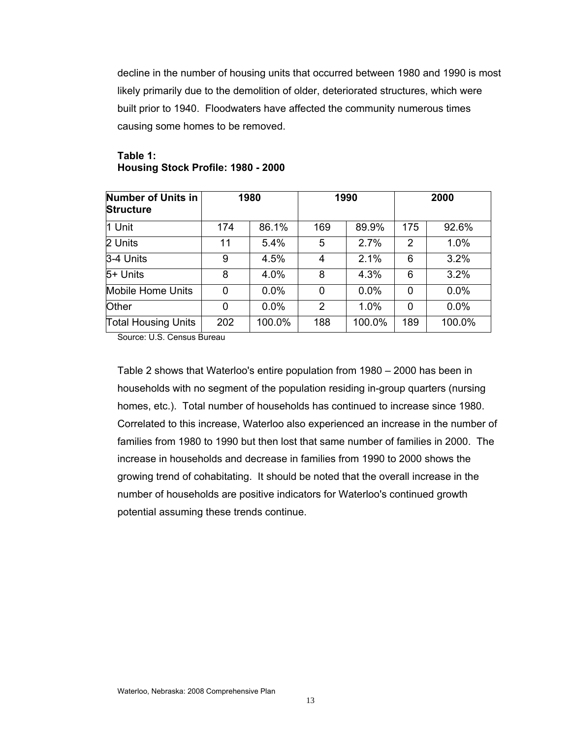decline in the number of housing units that occurred between 1980 and 1990 is most likely primarily due to the demolition of older, deteriorated structures, which were built prior to 1940. Floodwaters have affected the community numerous times causing some homes to be removed.

| <b>Number of Units in</b><br><b>Structure</b> |     | 1980   |                | 1990   |          | 2000   |
|-----------------------------------------------|-----|--------|----------------|--------|----------|--------|
| 1 Unit                                        | 174 | 86.1%  | 169            | 89.9%  | 175      | 92.6%  |
| 2 Units                                       | 11  | 5.4%   | 5              | 2.7%   | 2        | 1.0%   |
| $3-4$ Units                                   | 9   | 4.5%   | 4              | 2.1%   | 6        | 3.2%   |
| 5+ Units                                      | 8   | 4.0%   | 8              | 4.3%   | 6        | 3.2%   |
| Mobile Home Units                             | 0   | 0.0%   | 0              | 0.0%   | $\Omega$ | 0.0%   |
| Other                                         | 0   | 0.0%   | $\overline{2}$ | 1.0%   | $\Omega$ | 0.0%   |
| <b>Total Housing Units</b>                    | 202 | 100.0% | 188            | 100.0% | 189      | 100.0% |

#### **Table 1: Housing Stock Profile: 1980 - 2000**

Source: U.S. Census Bureau

Table 2 shows that Waterloo's entire population from 1980 – 2000 has been in households with no segment of the population residing in-group quarters (nursing homes, etc.). Total number of households has continued to increase since 1980. Correlated to this increase, Waterloo also experienced an increase in the number of families from 1980 to 1990 but then lost that same number of families in 2000. The increase in households and decrease in families from 1990 to 2000 shows the growing trend of cohabitating. It should be noted that the overall increase in the number of households are positive indicators for Waterloo's continued growth potential assuming these trends continue.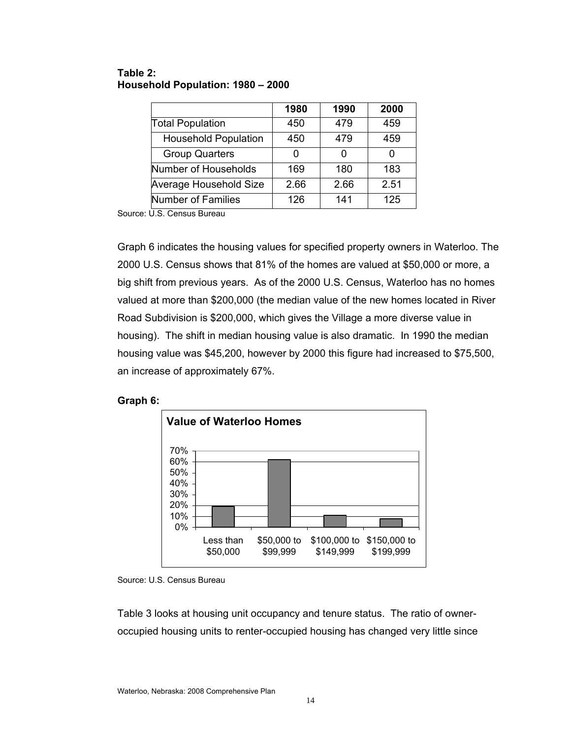|                             | 1980 | 1990 | 2000 |
|-----------------------------|------|------|------|
| <b>Total Population</b>     | 450  | 479  | 459  |
| <b>Household Population</b> | 450  | 479  | 459  |
| <b>Group Quarters</b>       |      | 0    |      |
| Number of Households        | 169  | 180  | 183  |
| Average Household Size      | 2.66 | 2.66 | 2.51 |
| Number of Families          | 126  | 141  | 125  |

#### **Table 2: Household Population: 1980 – 2000**

Source: U.S. Census Bureau

Graph 6 indicates the housing values for specified property owners in Waterloo. The 2000 U.S. Census shows that 81% of the homes are valued at \$50,000 or more, a big shift from previous years. As of the 2000 U.S. Census, Waterloo has no homes valued at more than \$200,000 (the median value of the new homes located in River Road Subdivision is \$200,000, which gives the Village a more diverse value in housing). The shift in median housing value is also dramatic. In 1990 the median housing value was \$45,200, however by 2000 this figure had increased to \$75,500, an increase of approximately 67%.





Source: U.S. Census Bureau

Table 3 looks at housing unit occupancy and tenure status. The ratio of owneroccupied housing units to renter-occupied housing has changed very little since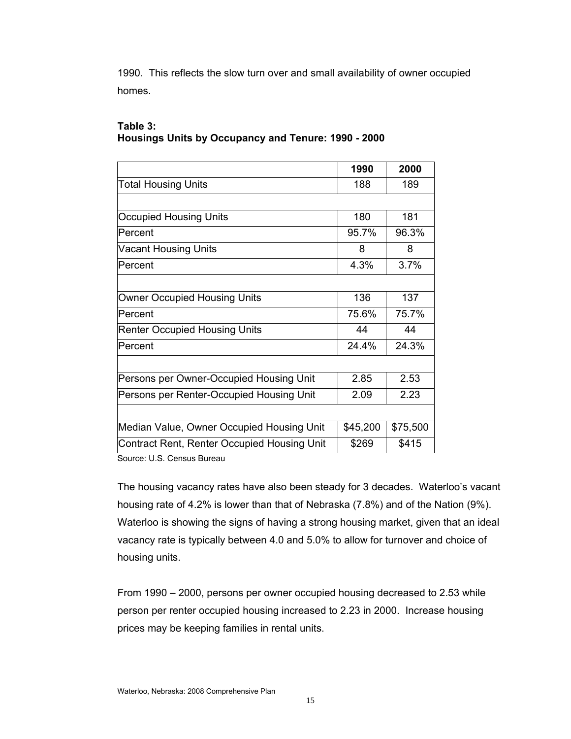1990. This reflects the slow turn over and small availability of owner occupied homes.

# **Table 3: Housings Units by Occupancy and Tenure: 1990 - 2000**

|                                             | 1990     | 2000     |
|---------------------------------------------|----------|----------|
| <b>Total Housing Units</b>                  | 188      | 189      |
|                                             |          |          |
| <b>Occupied Housing Units</b>               | 180      | 181      |
| <b>Percent</b>                              | 95.7%    | 96.3%    |
| <b>Vacant Housing Units</b>                 | 8        | 8        |
| <b>Percent</b>                              | 4.3%     | 3.7%     |
|                                             |          |          |
| Owner Occupied Housing Units                | 136      | 137      |
| Percent                                     | 75.6%    | 75.7%    |
| <b>Renter Occupied Housing Units</b>        | 44       | 44       |
| Percent                                     | 24.4%    | 24.3%    |
|                                             |          |          |
| Persons per Owner-Occupied Housing Unit     | 2.85     | 2.53     |
| Persons per Renter-Occupied Housing Unit    | 2.09     | 2.23     |
|                                             |          |          |
| Median Value, Owner Occupied Housing Unit   | \$45,200 | \$75,500 |
| Contract Rent, Renter Occupied Housing Unit | \$269    | \$415    |
| Carrosa: LLC, Canaria Drivaari              |          |          |

Source: U.S. Census Bureau

The housing vacancy rates have also been steady for 3 decades. Waterloo's vacant housing rate of 4.2% is lower than that of Nebraska (7.8%) and of the Nation (9%). Waterloo is showing the signs of having a strong housing market, given that an ideal vacancy rate is typically between 4.0 and 5.0% to allow for turnover and choice of housing units.

From 1990 – 2000, persons per owner occupied housing decreased to 2.53 while person per renter occupied housing increased to 2.23 in 2000. Increase housing prices may be keeping families in rental units.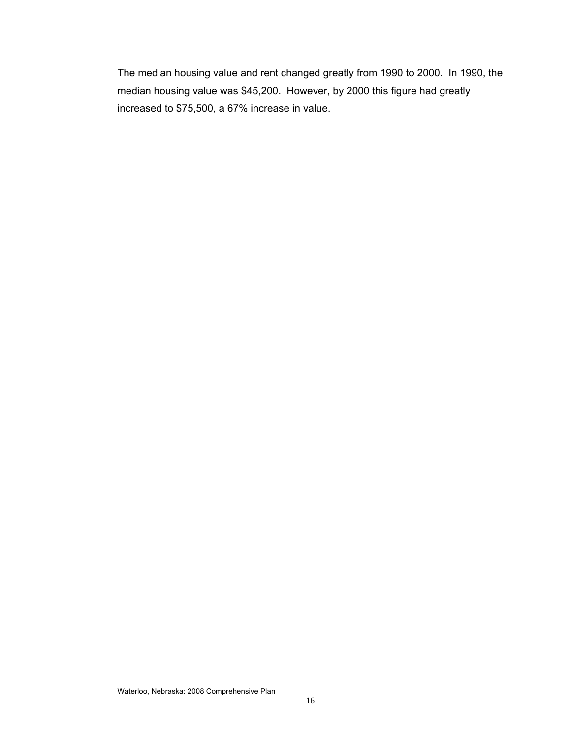The median housing value and rent changed greatly from 1990 to 2000. In 1990, the median housing value was \$45,200. However, by 2000 this figure had greatly increased to \$75,500, a 67% increase in value.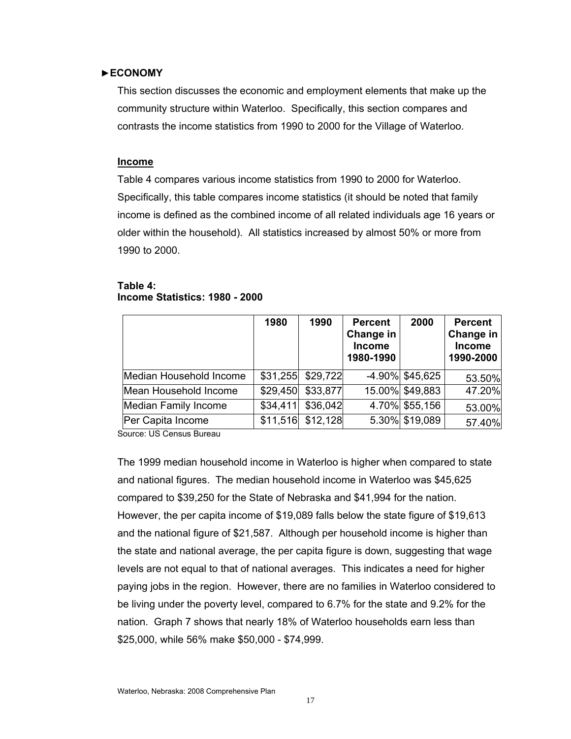#### ►**ECONOMY**

This section discusses the economic and employment elements that make up the community structure within Waterloo. Specifically, this section compares and contrasts the income statistics from 1990 to 2000 for the Village of Waterloo.

#### **Income**

Table 4 compares various income statistics from 1990 to 2000 for Waterloo. Specifically, this table compares income statistics (it should be noted that family income is defined as the combined income of all related individuals age 16 years or older within the household). All statistics increased by almost 50% or more from 1990 to 2000.

#### **Table 4: Income Statistics: 1980 - 2000**

|                         | 1980     | 1990     | <b>Percent</b><br>Change in<br><b>Income</b><br>1980-1990 | 2000               | <b>Percent</b><br>Change in<br><b>Income</b><br>1990-2000 |
|-------------------------|----------|----------|-----------------------------------------------------------|--------------------|-----------------------------------------------------------|
| Median Household Income | \$31,255 | \$29,722 |                                                           | $-4.90\%$ \$45,625 | 53.50%                                                    |
| Mean Household Income   | \$29,450 | \$33,877 |                                                           | 15.00% \$49,883    | 47.20%                                                    |
| Median Family Income    | \$34,411 | \$36,042 |                                                           | 4.70% \$55,156     | 53.00%                                                    |
| Per Capita Income       | \$11,516 | \$12,128 |                                                           | 5.30% \$19,089     | 57.40%                                                    |

Source: US Census Bureau

The 1999 median household income in Waterloo is higher when compared to state and national figures. The median household income in Waterloo was \$45,625 compared to \$39,250 for the State of Nebraska and \$41,994 for the nation. However, the per capita income of \$19,089 falls below the state figure of \$19,613 and the national figure of \$21,587. Although per household income is higher than the state and national average, the per capita figure is down, suggesting that wage levels are not equal to that of national averages. This indicates a need for higher paying jobs in the region. However, there are no families in Waterloo considered to be living under the poverty level, compared to 6.7% for the state and 9.2% for the nation. Graph 7 shows that nearly 18% of Waterloo households earn less than \$25,000, while 56% make \$50,000 - \$74,999.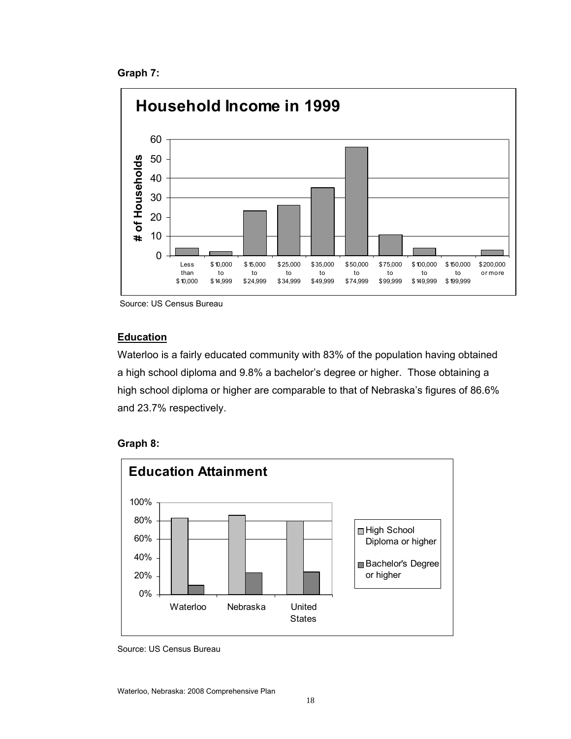**Graph 7:** 



Source: US Census Bureau

# **Education**

Waterloo is a fairly educated community with 83% of the population having obtained a high school diploma and 9.8% a bachelor's degree or higher. Those obtaining a high school diploma or higher are comparable to that of Nebraska's figures of 86.6% and 23.7% respectively.





Source: US Census Bureau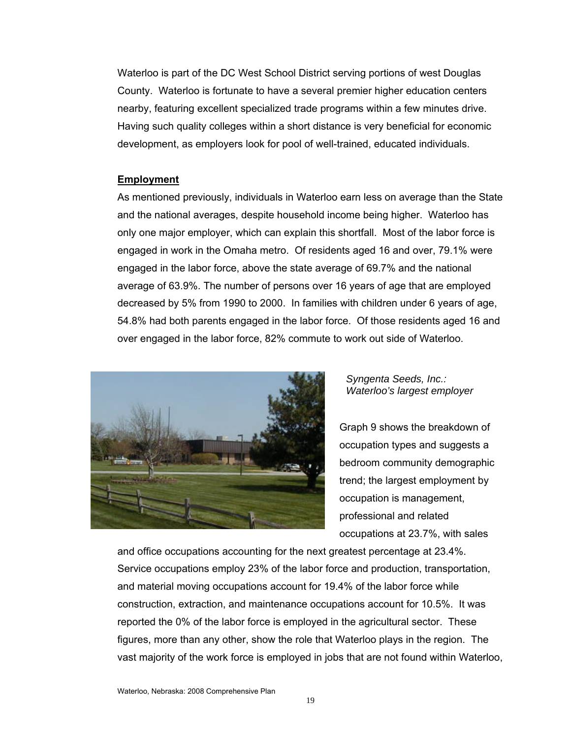Waterloo is part of the DC West School District serving portions of west Douglas County. Waterloo is fortunate to have a several premier higher education centers nearby, featuring excellent specialized trade programs within a few minutes drive. Having such quality colleges within a short distance is very beneficial for economic development, as employers look for pool of well-trained, educated individuals.

#### **Employment**

As mentioned previously, individuals in Waterloo earn less on average than the State and the national averages, despite household income being higher. Waterloo has only one major employer, which can explain this shortfall. Most of the labor force is engaged in work in the Omaha metro. Of residents aged 16 and over, 79.1% were engaged in the labor force, above the state average of 69.7% and the national average of 63.9%. The number of persons over 16 years of age that are employed decreased by 5% from 1990 to 2000. In families with children under 6 years of age, 54.8% had both parents engaged in the labor force. Of those residents aged 16 and over engaged in the labor force, 82% commute to work out side of Waterloo.



*Syngenta Seeds, Inc.: Waterloo's largest employer*

Graph 9 shows the breakdown of occupation types and suggests a bedroom community demographic trend; the largest employment by occupation is management, professional and related occupations at 23.7%, with sales

and office occupations accounting for the next greatest percentage at 23.4%. Service occupations employ 23% of the labor force and production, transportation, and material moving occupations account for 19.4% of the labor force while construction, extraction, and maintenance occupations account for 10.5%. It was reported the 0% of the labor force is employed in the agricultural sector. These figures, more than any other, show the role that Waterloo plays in the region. The vast majority of the work force is employed in jobs that are not found within Waterloo,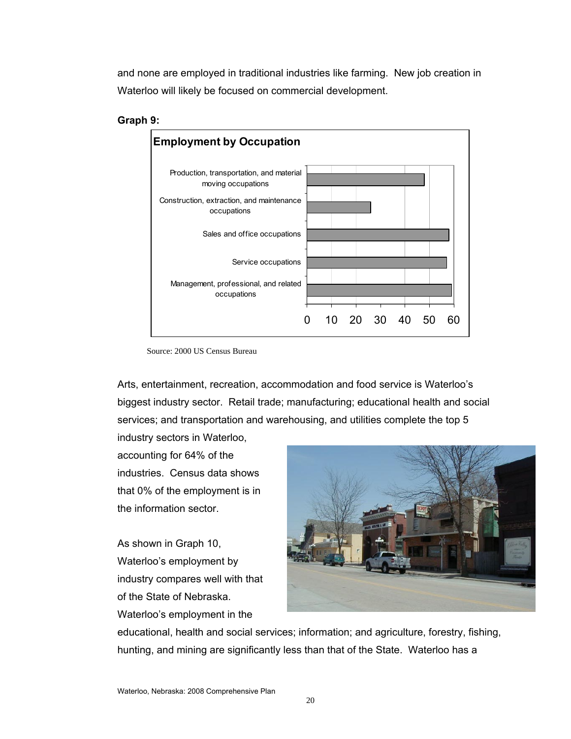and none are employed in traditional industries like farming. New job creation in Waterloo will likely be focused on commercial development.





Source: 2000 US Census Bureau

Arts, entertainment, recreation, accommodation and food service is Waterloo's biggest industry sector. Retail trade; manufacturing; educational health and social services; and transportation and warehousing, and utilities complete the top 5

industry sectors in Waterloo, accounting for 64% of the industries. Census data shows that 0% of the employment is in the information sector.

As shown in Graph 10, Waterloo's employment by industry compares well with that of the State of Nebraska. Waterloo's employment in the



educational, health and social services; information; and agriculture, forestry, fishing, hunting, and mining are significantly less than that of the State. Waterloo has a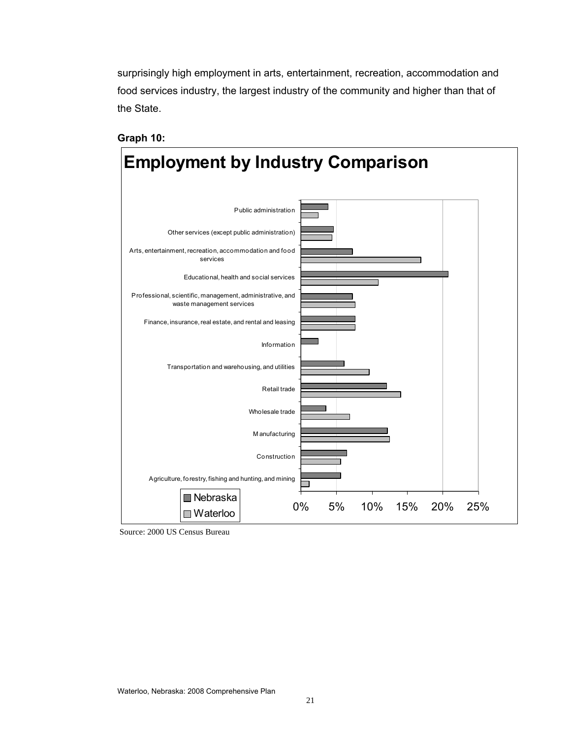surprisingly high employment in arts, entertainment, recreation, accommodation and food services industry, the largest industry of the community and higher than that of the State.



**Graph 10:** 

Source: 2000 US Census Bureau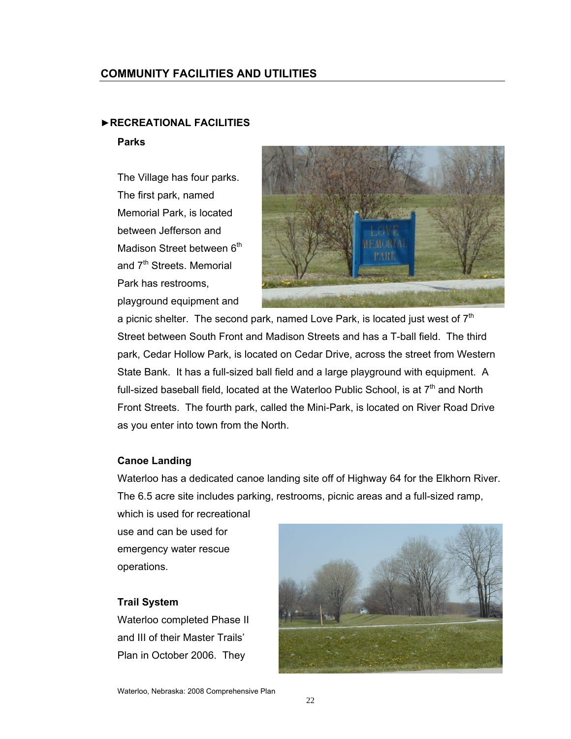# **COMMUNITY FACILITIES AND UTILITIES**

#### ►**RECREATIONAL FACILITIES**

#### **Parks**

The Village has four parks. The first park, named Memorial Park, is located between Jefferson and Madison Street between 6<sup>th</sup> and 7<sup>th</sup> Streets. Memorial Park has restrooms,

playground equipment and

a picnic shelter. The second park, named Love Park, is located just west of  $7<sup>th</sup>$ Street between South Front and Madison Streets and has a T-ball field. The third park, Cedar Hollow Park, is located on Cedar Drive, across the street from Western State Bank. It has a full-sized ball field and a large playground with equipment. A full-sized baseball field, located at the Waterloo Public School, is at  $7<sup>th</sup>$  and North Front Streets. The fourth park, called the Mini-Park, is located on River Road Drive as you enter into town from the North.

#### **Canoe Landing**

Waterloo has a dedicated canoe landing site off of Highway 64 for the Elkhorn River. The 6.5 acre site includes parking, restrooms, picnic areas and a full-sized ramp,

which is used for recreational use and can be used for

emergency water rescue operations.

#### **Trail System**

Waterloo completed Phase II and III of their Master Trails' Plan in October 2006. They

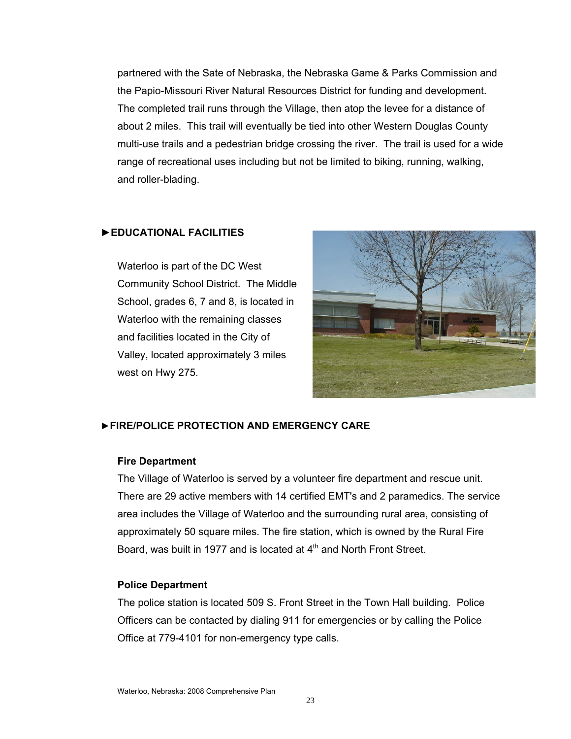partnered with the Sate of Nebraska, the Nebraska Game & Parks Commission and the Papio-Missouri River Natural Resources District for funding and development. The completed trail runs through the Village, then atop the levee for a distance of about 2 miles. This trail will eventually be tied into other Western Douglas County multi-use trails and a pedestrian bridge crossing the river. The trail is used for a wide range of recreational uses including but not be limited to biking, running, walking, and roller-blading.

#### **►EDUCATIONAL FACILITIES**

Waterloo is part of the DC West Community School District. The Middle School, grades 6, 7 and 8, is located in Waterloo with the remaining classes and facilities located in the City of Valley, located approximately 3 miles west on Hwy 275.



#### ►**FIRE/POLICE PROTECTION AND EMERGENCY CARE**

#### **Fire Department**

The Village of Waterloo is served by a volunteer fire department and rescue unit. There are 29 active members with 14 certified EMT's and 2 paramedics. The service area includes the Village of Waterloo and the surrounding rural area, consisting of approximately 50 square miles. The fire station, which is owned by the Rural Fire Board, was built in 1977 and is located at  $4<sup>th</sup>$  and North Front Street.

#### **Police Department**

The police station is located 509 S. Front Street in the Town Hall building. Police Officers can be contacted by dialing 911 for emergencies or by calling the Police Office at 779-4101 for non-emergency type calls.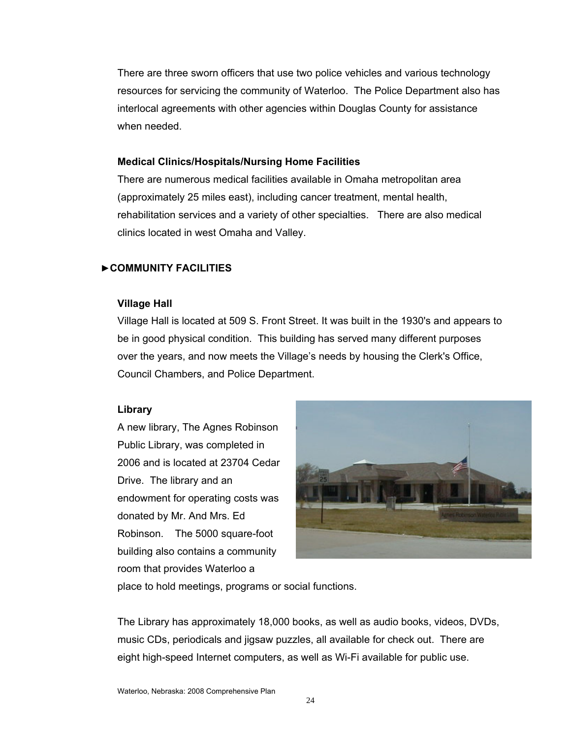There are three sworn officers that use two police vehicles and various technology resources for servicing the community of Waterloo. The Police Department also has interlocal agreements with other agencies within Douglas County for assistance when needed.

#### **Medical Clinics/Hospitals/Nursing Home Facilities**

There are numerous medical facilities available in Omaha metropolitan area (approximately 25 miles east), including cancer treatment, mental health, rehabilitation services and a variety of other specialties. There are also medical clinics located in west Omaha and Valley.

# ►**COMMUNITY FACILITIES**

#### **Village Hall**

Village Hall is located at 509 S. Front Street. It was built in the 1930's and appears to be in good physical condition. This building has served many different purposes over the years, and now meets the Village's needs by housing the Clerk's Office, Council Chambers, and Police Department.

# **Library**

A new library, The Agnes Robinson Public Library, was completed in 2006 and is located at 23704 Cedar Drive. The library and an endowment for operating costs was donated by Mr. And Mrs. Ed Robinson. The 5000 square-foot building also contains a community room that provides Waterloo a



place to hold meetings, programs or social functions.

The Library has approximately 18,000 books, as well as audio books, videos, DVDs, music CDs, periodicals and jigsaw puzzles, all available for check out. There are eight high-speed Internet computers, as well as Wi-Fi available for public use.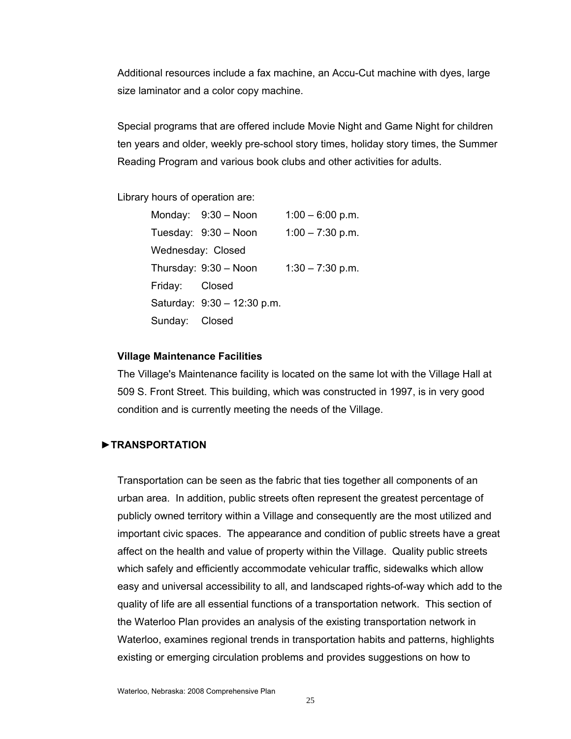Additional resources include a fax machine, an Accu-Cut machine with dyes, large size laminator and a color copy machine.

Special programs that are offered include Movie Night and Game Night for children ten years and older, weekly pre-school story times, holiday story times, the Summer Reading Program and various book clubs and other activities for adults.

Library hours of operation are:

|                   | Monday: 9:30 - Noon         | $1:00 - 6:00$ p.m. |
|-------------------|-----------------------------|--------------------|
|                   | Tuesday: 9:30 - Noon        | $1:00 - 7:30$ p.m. |
| Wednesday: Closed |                             |                    |
|                   | Thursday: 9:30 - Noon       | $1:30 - 7:30$ p.m. |
| Friday: Closed    |                             |                    |
|                   | Saturday: 9:30 - 12:30 p.m. |                    |
| Sunday:           | Closed                      |                    |

#### **Village Maintenance Facilities**

The Village's Maintenance facility is located on the same lot with the Village Hall at 509 S. Front Street. This building, which was constructed in 1997, is in very good condition and is currently meeting the needs of the Village.

#### **►TRANSPORTATION**

Transportation can be seen as the fabric that ties together all components of an urban area. In addition, public streets often represent the greatest percentage of publicly owned territory within a Village and consequently are the most utilized and important civic spaces. The appearance and condition of public streets have a great affect on the health and value of property within the Village. Quality public streets which safely and efficiently accommodate vehicular traffic, sidewalks which allow easy and universal accessibility to all, and landscaped rights-of-way which add to the quality of life are all essential functions of a transportation network. This section of the Waterloo Plan provides an analysis of the existing transportation network in Waterloo, examines regional trends in transportation habits and patterns, highlights existing or emerging circulation problems and provides suggestions on how to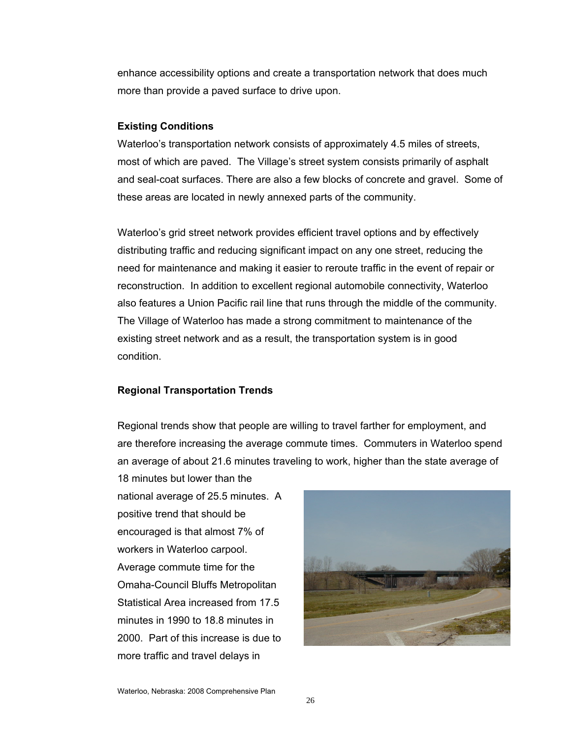enhance accessibility options and create a transportation network that does much more than provide a paved surface to drive upon.

#### **Existing Conditions**

Waterloo's transportation network consists of approximately 4.5 miles of streets, most of which are paved. The Village's street system consists primarily of asphalt and seal-coat surfaces. There are also a few blocks of concrete and gravel. Some of these areas are located in newly annexed parts of the community.

Waterloo's grid street network provides efficient travel options and by effectively distributing traffic and reducing significant impact on any one street, reducing the need for maintenance and making it easier to reroute traffic in the event of repair or reconstruction. In addition to excellent regional automobile connectivity, Waterloo also features a Union Pacific rail line that runs through the middle of the community. The Village of Waterloo has made a strong commitment to maintenance of the existing street network and as a result, the transportation system is in good condition.

#### **Regional Transportation Trends**

Regional trends show that people are willing to travel farther for employment, and are therefore increasing the average commute times. Commuters in Waterloo spend an average of about 21.6 minutes traveling to work, higher than the state average of

18 minutes but lower than the national average of 25.5 minutes. A positive trend that should be encouraged is that almost 7% of workers in Waterloo carpool. Average commute time for the Omaha-Council Bluffs Metropolitan Statistical Area increased from 17.5 minutes in 1990 to 18.8 minutes in 2000. Part of this increase is due to more traffic and travel delays in

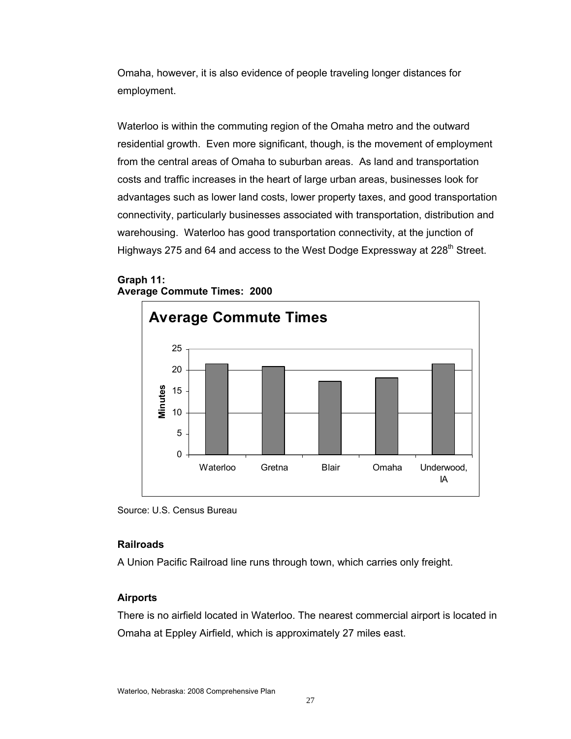Omaha, however, it is also evidence of people traveling longer distances for employment.

Waterloo is within the commuting region of the Omaha metro and the outward residential growth. Even more significant, though, is the movement of employment from the central areas of Omaha to suburban areas. As land and transportation costs and traffic increases in the heart of large urban areas, businesses look for advantages such as lower land costs, lower property taxes, and good transportation connectivity, particularly businesses associated with transportation, distribution and warehousing. Waterloo has good transportation connectivity, at the junction of Highways 275 and 64 and access to the West Dodge Expressway at 228<sup>th</sup> Street.

# **Graph 11: Average Commute Times: 2000**



Source: U.S. Census Bureau

# **Railroads**

A Union Pacific Railroad line runs through town, which carries only freight.

# **Airports**

There is no airfield located in Waterloo. The nearest commercial airport is located in Omaha at Eppley Airfield, which is approximately 27 miles east.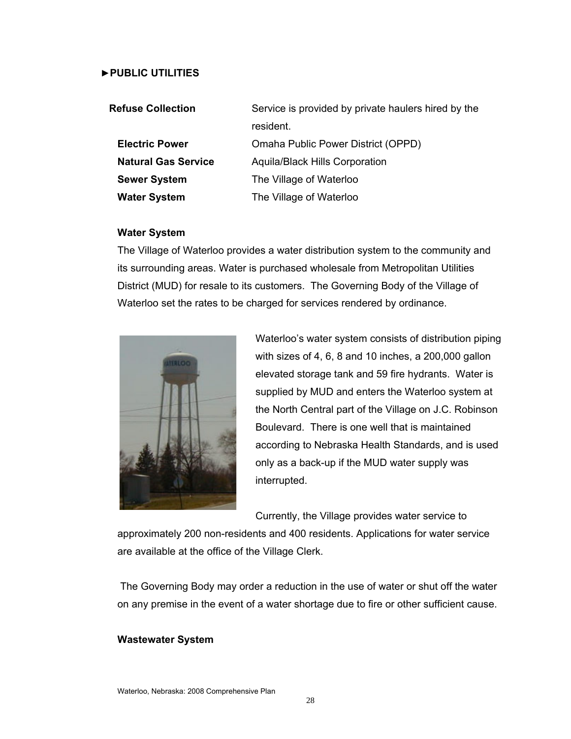#### ►**PUBLIC UTILITIES**

| <b>Refuse Collection</b>   | Service is provided by private haulers hired by the |  |  |
|----------------------------|-----------------------------------------------------|--|--|
|                            | resident.                                           |  |  |
| <b>Electric Power</b>      | Omaha Public Power District (OPPD)                  |  |  |
| <b>Natural Gas Service</b> | <b>Aquila/Black Hills Corporation</b>               |  |  |
| <b>Sewer System</b>        | The Village of Waterloo                             |  |  |
| <b>Water System</b>        | The Village of Waterloo                             |  |  |

#### **Water System**

The Village of Waterloo provides a water distribution system to the community and its surrounding areas. Water is purchased wholesale from Metropolitan Utilities District (MUD) for resale to its customers. The Governing Body of the Village of Waterloo set the rates to be charged for services rendered by ordinance.



Waterloo's water system consists of distribution piping with sizes of 4, 6, 8 and 10 inches, a 200,000 gallon elevated storage tank and 59 fire hydrants. Water is supplied by MUD and enters the Waterloo system at the North Central part of the Village on J.C. Robinson Boulevard. There is one well that is maintained according to Nebraska Health Standards, and is used only as a back-up if the MUD water supply was interrupted.

Currently, the Village provides water service to

approximately 200 non-residents and 400 residents. Applications for water service are available at the office of the Village Clerk.

 The Governing Body may order a reduction in the use of water or shut off the water on any premise in the event of a water shortage due to fire or other sufficient cause.

#### **Wastewater System**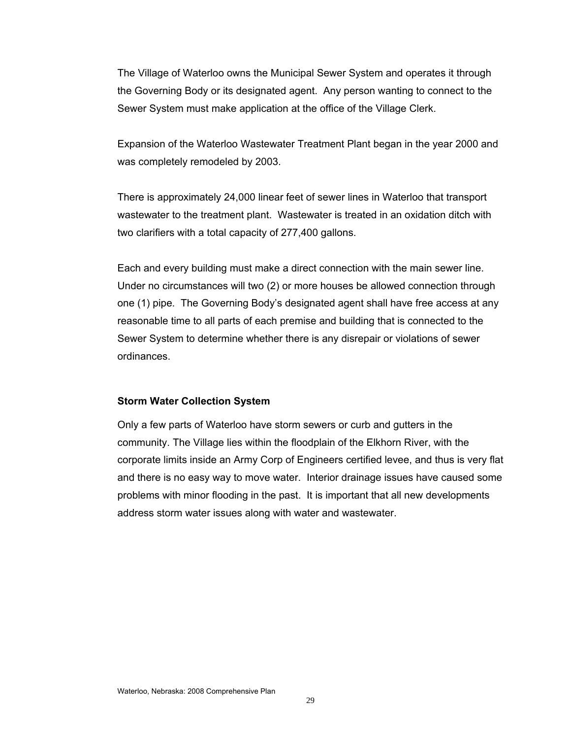The Village of Waterloo owns the Municipal Sewer System and operates it through the Governing Body or its designated agent. Any person wanting to connect to the Sewer System must make application at the office of the Village Clerk.

Expansion of the Waterloo Wastewater Treatment Plant began in the year 2000 and was completely remodeled by 2003.

There is approximately 24,000 linear feet of sewer lines in Waterloo that transport wastewater to the treatment plant. Wastewater is treated in an oxidation ditch with two clarifiers with a total capacity of 277,400 gallons.

Each and every building must make a direct connection with the main sewer line. Under no circumstances will two (2) or more houses be allowed connection through one (1) pipe. The Governing Body's designated agent shall have free access at any reasonable time to all parts of each premise and building that is connected to the Sewer System to determine whether there is any disrepair or violations of sewer ordinances.

#### **Storm Water Collection System**

Only a few parts of Waterloo have storm sewers or curb and gutters in the community. The Village lies within the floodplain of the Elkhorn River, with the corporate limits inside an Army Corp of Engineers certified levee, and thus is very flat and there is no easy way to move water. Interior drainage issues have caused some problems with minor flooding in the past. It is important that all new developments address storm water issues along with water and wastewater.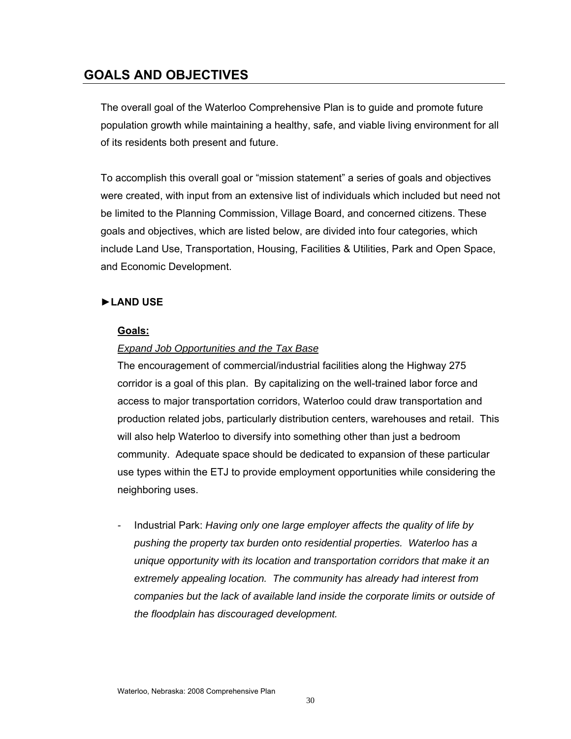# **GOALS AND OBJECTIVES**

The overall goal of the Waterloo Comprehensive Plan is to guide and promote future population growth while maintaining a healthy, safe, and viable living environment for all of its residents both present and future.

To accomplish this overall goal or "mission statement" a series of goals and objectives were created, with input from an extensive list of individuals which included but need not be limited to the Planning Commission, Village Board, and concerned citizens. These goals and objectives, which are listed below, are divided into four categories, which include Land Use, Transportation, Housing, Facilities & Utilities, Park and Open Space, and Economic Development.

# **►LAND USE**

#### **Goals:**

# *Expand Job Opportunities and the Tax Base*

The encouragement of commercial/industrial facilities along the Highway 275 corridor is a goal of this plan. By capitalizing on the well-trained labor force and access to major transportation corridors, Waterloo could draw transportation and production related jobs, particularly distribution centers, warehouses and retail. This will also help Waterloo to diversify into something other than just a bedroom community. Adequate space should be dedicated to expansion of these particular use types within the ETJ to provide employment opportunities while considering the neighboring uses.

*-* Industrial Park: *Having only one large employer affects the quality of life by pushing the property tax burden onto residential properties. Waterloo has a unique opportunity with its location and transportation corridors that make it an extremely appealing location. The community has already had interest from companies but the lack of available land inside the corporate limits or outside of the floodplain has discouraged development.*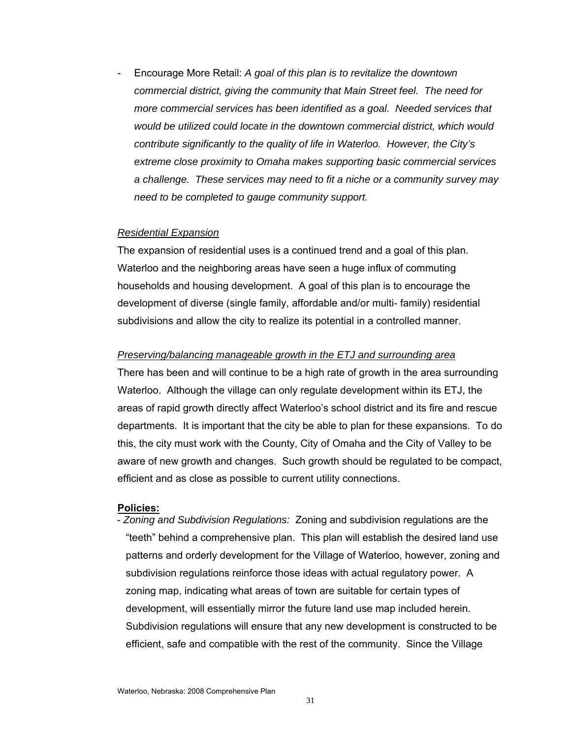- Encourage More Retail: *A goal of this plan is to revitalize the downtown commercial district, giving the community that Main Street feel. The need for more commercial services has been identified as a goal. Needed services that would be utilized could locate in the downtown commercial district, which would contribute significantly to the quality of life in Waterloo. However, the City's extreme close proximity to Omaha makes supporting basic commercial services a challenge. These services may need to fit a niche or a community survey may need to be completed to gauge community support.* 

#### *Residential Expansion*

The expansion of residential uses is a continued trend and a goal of this plan. Waterloo and the neighboring areas have seen a huge influx of commuting households and housing development. A goal of this plan is to encourage the development of diverse (single family, affordable and/or multi- family) residential subdivisions and allow the city to realize its potential in a controlled manner.

#### *Preserving/balancing manageable growth in the ETJ and surrounding area*

There has been and will continue to be a high rate of growth in the area surrounding Waterloo. Although the village can only regulate development within its ETJ, the areas of rapid growth directly affect Waterloo's school district and its fire and rescue departments. It is important that the city be able to plan for these expansions. To do this, the city must work with the County, City of Omaha and the City of Valley to be aware of new growth and changes. Such growth should be regulated to be compact, efficient and as close as possible to current utility connections.

#### **Policies:**

- *Zoning and Subdivision Regulations:* Zoning and subdivision regulations are the "teeth" behind a comprehensive plan. This plan will establish the desired land use patterns and orderly development for the Village of Waterloo, however, zoning and subdivision regulations reinforce those ideas with actual regulatory power. A zoning map, indicating what areas of town are suitable for certain types of development, will essentially mirror the future land use map included herein. Subdivision regulations will ensure that any new development is constructed to be efficient, safe and compatible with the rest of the community. Since the Village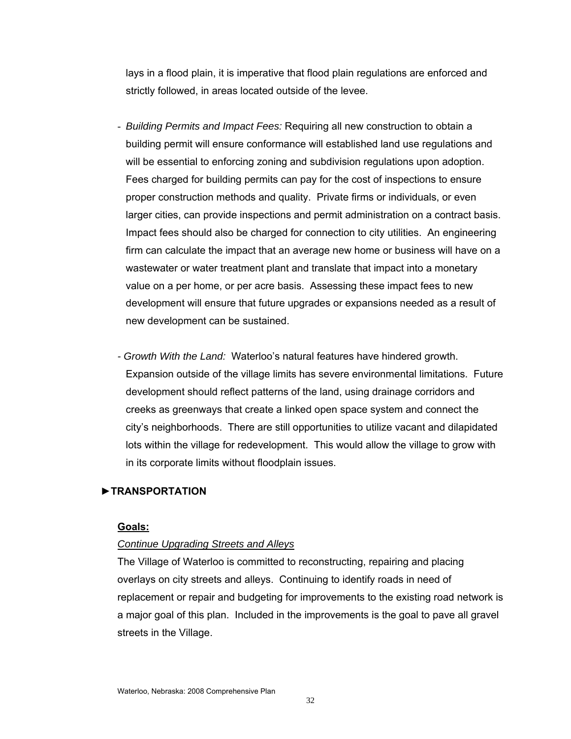lays in a flood plain, it is imperative that flood plain regulations are enforced and strictly followed, in areas located outside of the levee.

- *Building Permits and Impact Fees:* Requiring all new construction to obtain a building permit will ensure conformance will established land use regulations and will be essential to enforcing zoning and subdivision regulations upon adoption. Fees charged for building permits can pay for the cost of inspections to ensure proper construction methods and quality. Private firms or individuals, or even larger cities, can provide inspections and permit administration on a contract basis. Impact fees should also be charged for connection to city utilities. An engineering firm can calculate the impact that an average new home or business will have on a wastewater or water treatment plant and translate that impact into a monetary value on a per home, or per acre basis. Assessing these impact fees to new development will ensure that future upgrades or expansions needed as a result of new development can be sustained.
- *Growth With the Land:* Waterloo's natural features have hindered growth. Expansion outside of the village limits has severe environmental limitations. Future development should reflect patterns of the land, using drainage corridors and creeks as greenways that create a linked open space system and connect the city's neighborhoods. There are still opportunities to utilize vacant and dilapidated lots within the village for redevelopment. This would allow the village to grow with in its corporate limits without floodplain issues.

#### ►**TRANSPORTATION**

#### **Goals:**

#### *Continue Upgrading Streets and Alleys*

The Village of Waterloo is committed to reconstructing, repairing and placing overlays on city streets and alleys. Continuing to identify roads in need of replacement or repair and budgeting for improvements to the existing road network is a major goal of this plan. Included in the improvements is the goal to pave all gravel streets in the Village.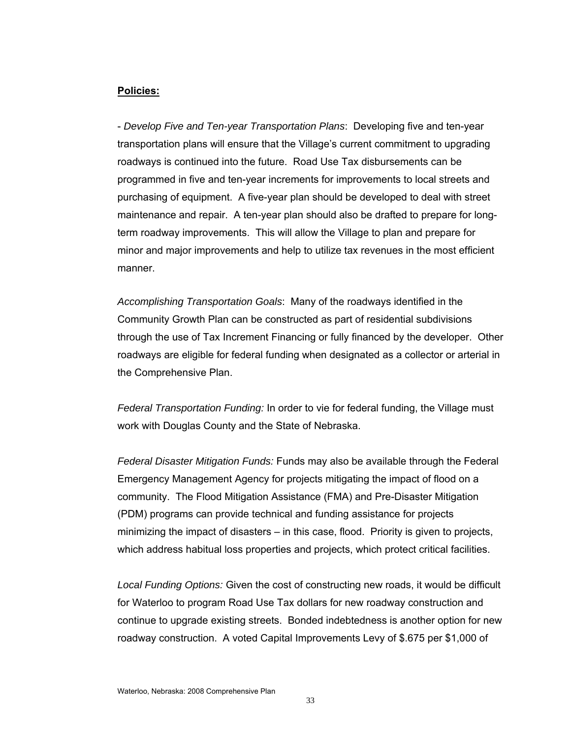#### **Policies:**

- *Develop Five and Ten-year Transportation Plans*: Developing five and ten-year transportation plans will ensure that the Village's current commitment to upgrading roadways is continued into the future. Road Use Tax disbursements can be programmed in five and ten-year increments for improvements to local streets and purchasing of equipment. A five-year plan should be developed to deal with street maintenance and repair. A ten-year plan should also be drafted to prepare for longterm roadway improvements. This will allow the Village to plan and prepare for minor and major improvements and help to utilize tax revenues in the most efficient manner.

*Accomplishing Transportation Goals*: Many of the roadways identified in the Community Growth Plan can be constructed as part of residential subdivisions through the use of Tax Increment Financing or fully financed by the developer. Other roadways are eligible for federal funding when designated as a collector or arterial in the Comprehensive Plan.

*Federal Transportation Funding:* In order to vie for federal funding, the Village must work with Douglas County and the State of Nebraska.

*Federal Disaster Mitigation Funds:* Funds may also be available through the Federal Emergency Management Agency for projects mitigating the impact of flood on a community. The Flood Mitigation Assistance (FMA) and Pre-Disaster Mitigation (PDM) programs can provide technical and funding assistance for projects minimizing the impact of disasters – in this case, flood. Priority is given to projects, which address habitual loss properties and projects, which protect critical facilities.

*Local Funding Options:* Given the cost of constructing new roads, it would be difficult for Waterloo to program Road Use Tax dollars for new roadway construction and continue to upgrade existing streets. Bonded indebtedness is another option for new roadway construction. A voted Capital Improvements Levy of \$.675 per \$1,000 of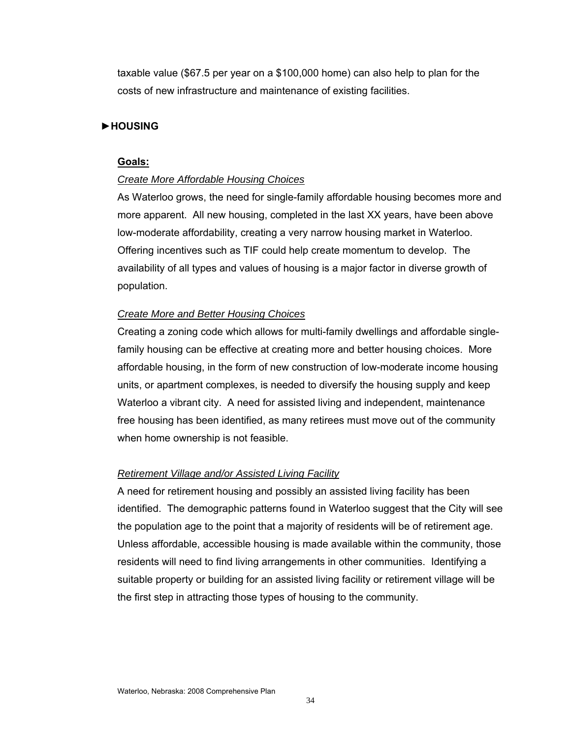taxable value (\$67.5 per year on a \$100,000 home) can also help to plan for the costs of new infrastructure and maintenance of existing facilities.

#### **►HOUSING**

#### **Goals:**

#### *Create More Affordable Housing Choices*

As Waterloo grows, the need for single-family affordable housing becomes more and more apparent. All new housing, completed in the last XX years, have been above low-moderate affordability, creating a very narrow housing market in Waterloo. Offering incentives such as TIF could help create momentum to develop. The availability of all types and values of housing is a major factor in diverse growth of population.

#### *Create More and Better Housing Choices*

Creating a zoning code which allows for multi-family dwellings and affordable singlefamily housing can be effective at creating more and better housing choices. More affordable housing, in the form of new construction of low-moderate income housing units, or apartment complexes, is needed to diversify the housing supply and keep Waterloo a vibrant city. A need for assisted living and independent, maintenance free housing has been identified, as many retirees must move out of the community when home ownership is not feasible.

#### *Retirement Village and/or Assisted Living Facility*

A need for retirement housing and possibly an assisted living facility has been identified. The demographic patterns found in Waterloo suggest that the City will see the population age to the point that a majority of residents will be of retirement age. Unless affordable, accessible housing is made available within the community, those residents will need to find living arrangements in other communities. Identifying a suitable property or building for an assisted living facility or retirement village will be the first step in attracting those types of housing to the community.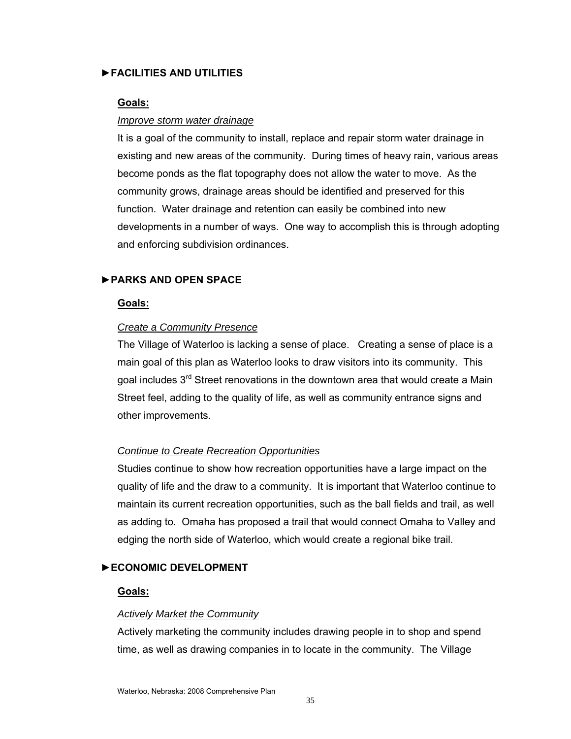#### **►FACILITIES AND UTILITIES**

#### **Goals:**

#### *Improve storm water drainage*

It is a goal of the community to install, replace and repair storm water drainage in existing and new areas of the community. During times of heavy rain, various areas become ponds as the flat topography does not allow the water to move. As the community grows, drainage areas should be identified and preserved for this function. Water drainage and retention can easily be combined into new developments in a number of ways. One way to accomplish this is through adopting and enforcing subdivision ordinances.

# **►PARKS AND OPEN SPACE**

#### **Goals:**

#### *Create a Community Presence*

The Village of Waterloo is lacking a sense of place. Creating a sense of place is a main goal of this plan as Waterloo looks to draw visitors into its community. This goal includes 3<sup>rd</sup> Street renovations in the downtown area that would create a Main Street feel, adding to the quality of life, as well as community entrance signs and other improvements.

#### *Continue to Create Recreation Opportunities*

Studies continue to show how recreation opportunities have a large impact on the quality of life and the draw to a community. It is important that Waterloo continue to maintain its current recreation opportunities, such as the ball fields and trail, as well as adding to. Omaha has proposed a trail that would connect Omaha to Valley and edging the north side of Waterloo, which would create a regional bike trail.

#### **►ECONOMIC DEVELOPMENT**

#### **Goals:**

#### *Actively Market the Community*

Actively marketing the community includes drawing people in to shop and spend time, as well as drawing companies in to locate in the community. The Village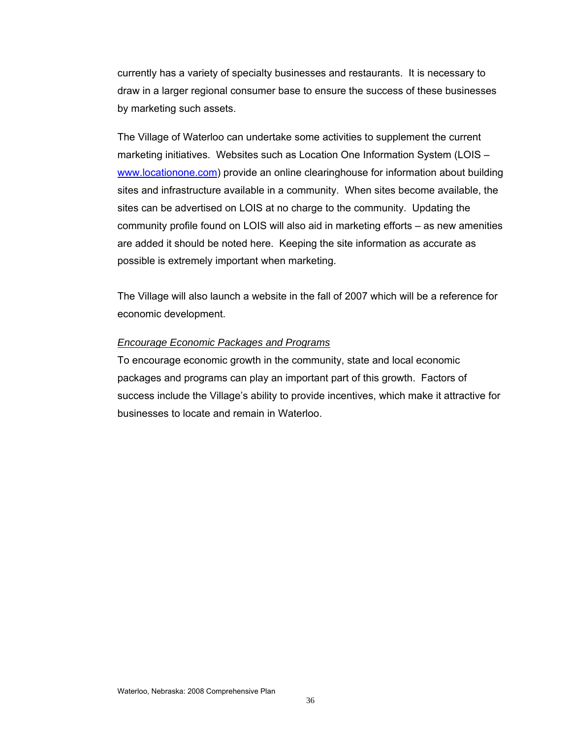currently has a variety of specialty businesses and restaurants. It is necessary to draw in a larger regional consumer base to ensure the success of these businesses by marketing such assets.

The Village of Waterloo can undertake some activities to supplement the current marketing initiatives. Websites such as Location One Information System (LOIS – [www.locationone.com\)](http://www.locationone.com/) provide an online clearinghouse for information about building sites and infrastructure available in a community. When sites become available, the sites can be advertised on LOIS at no charge to the community. Updating the community profile found on LOIS will also aid in marketing efforts – as new amenities are added it should be noted here. Keeping the site information as accurate as possible is extremely important when marketing.

The Village will also launch a website in the fall of 2007 which will be a reference for economic development.

#### *Encourage Economic Packages and Programs*

To encourage economic growth in the community, state and local economic packages and programs can play an important part of this growth. Factors of success include the Village's ability to provide incentives, which make it attractive for businesses to locate and remain in Waterloo.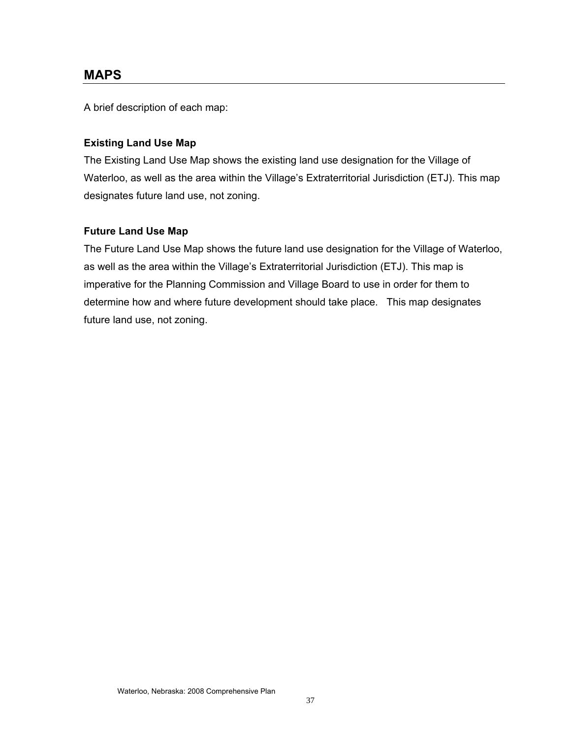# **MAPS**

A brief description of each map:

# **Existing Land Use Map**

The Existing Land Use Map shows the existing land use designation for the Village of Waterloo, as well as the area within the Village's Extraterritorial Jurisdiction (ETJ). This map designates future land use, not zoning.

#### **Future Land Use Map**

The Future Land Use Map shows the future land use designation for the Village of Waterloo, as well as the area within the Village's Extraterritorial Jurisdiction (ETJ). This map is imperative for the Planning Commission and Village Board to use in order for them to determine how and where future development should take place. This map designates future land use, not zoning.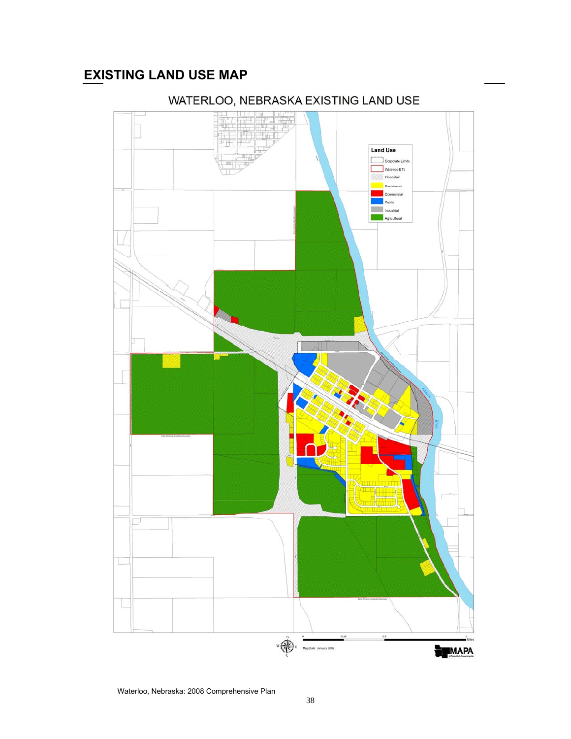# **EXISTING LAND USE MAP**



# WATERLOO, NEBRASKA EXISTING LAND USE

Waterloo, Nebraska: 2008 Comprehensive Plan